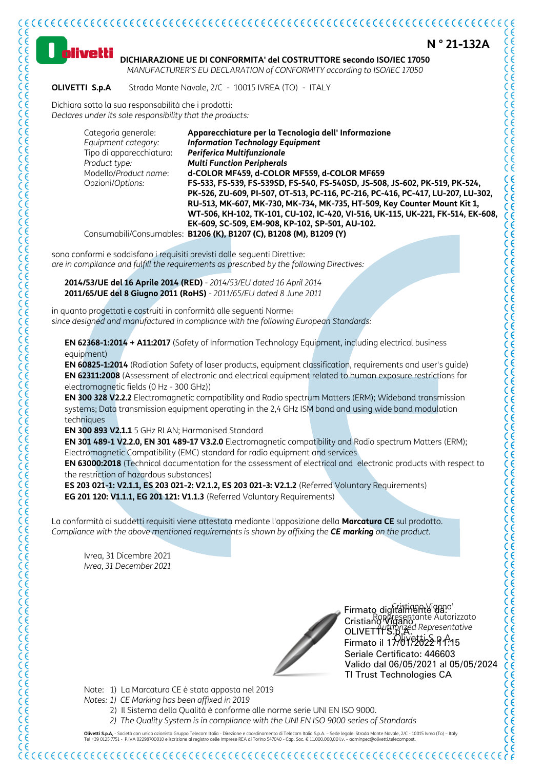

**Olivetti S.p.A.** - Società con unico azionista Gruppo Telecom Italia - Direzione e coordinamento di Telecom Italia S.p.A. - Sede legale: Strada Monte Navale, 2/C - 10015 Ivrea (To) - Italy<br>Tel +39 0125 7751 - P.IVA 022987